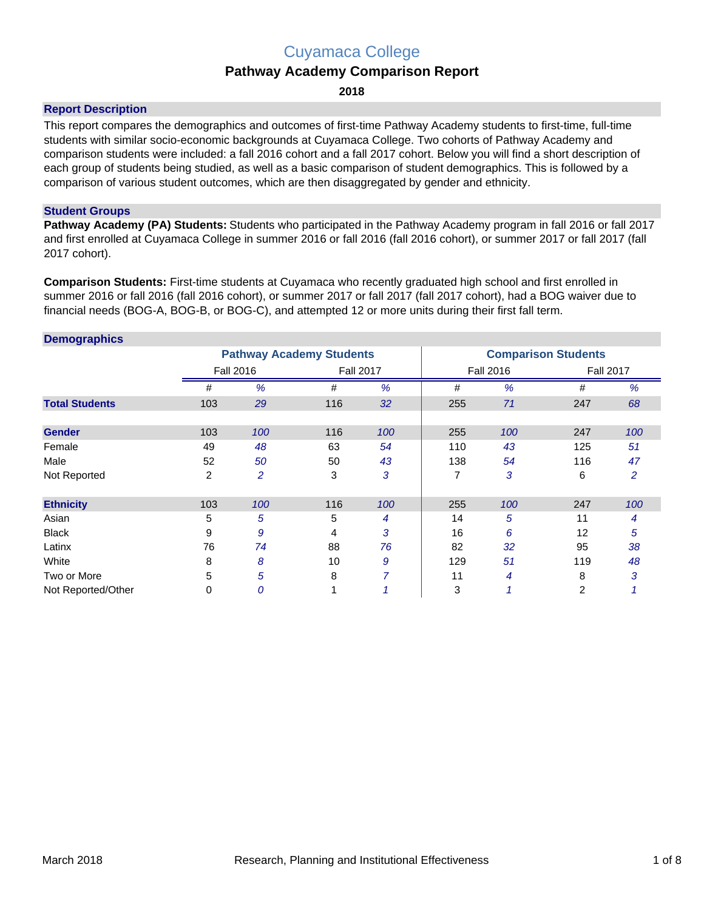## Cuyamaca College

### **Pathway Academy Comparison Report**

**2018**

#### **Report Description**

This report compares the demographics and outcomes of first-time Pathway Academy students to first-time, full-time students with similar socio-economic backgrounds at Cuyamaca College. Two cohorts of Pathway Academy and comparison students were included: a fall 2016 cohort and a fall 2017 cohort. Below you will find a short description of each group of students being studied, as well as a basic comparison of student demographics. This is followed by a comparison of various student outcomes, which are then disaggregated by gender and ethnicity.

#### **Student Groups**

**Pathway Academy (PA) Students:** Students who participated in the Pathway Academy program in fall 2016 or fall 2017 and first enrolled at Cuyamaca College in summer 2016 or fall 2016 (fall 2016 cohort), or summer 2017 or fall 2017 (fall 2017 cohort).

**Comparison Students:** First-time students at Cuyamaca who recently graduated high school and first enrolled in summer 2016 or fall 2016 (fall 2016 cohort), or summer 2017 or fall 2017 (fall 2017 cohort), had a BOG waiver due to financial needs (BOG-A, BOG-B, or BOG-C), and attempted 12 or more units during their first fall term.

| <b>Demographics</b>   |     |                  |                                 |     |                            |                  |     |                  |  |
|-----------------------|-----|------------------|---------------------------------|-----|----------------------------|------------------|-----|------------------|--|
|                       |     |                  | <b>Pathway Academy Students</b> |     | <b>Comparison Students</b> |                  |     |                  |  |
|                       |     | <b>Fall 2016</b> | <b>Fall 2017</b>                |     |                            | <b>Fall 2016</b> |     | <b>Fall 2017</b> |  |
|                       | #   | %                | #                               | %   | #                          | %                | #   | %                |  |
| <b>Total Students</b> | 103 | 29               | 116                             | 32  | 255                        | 71               | 247 | 68               |  |
|                       |     |                  |                                 |     |                            |                  |     |                  |  |
| <b>Gender</b>         | 103 | 100              | 116                             | 100 | 255                        | 100              | 247 | 100              |  |
| Female                | 49  | 48               | 63                              | 54  | 110                        | 43               | 125 | 51               |  |
| Male                  | 52  | 50               | 50                              | 43  | 138                        | 54               | 116 | 47               |  |
| Not Reported          | 2   | $\overline{c}$   | 3                               | 3   | 7                          | 3                | 6   | 2                |  |
| <b>Ethnicity</b>      | 103 | 100              | 116                             | 100 | 255                        | 100              | 247 | 100              |  |
| Asian                 | 5   | 5                | 5                               | 4   | 14                         | 5                | 11  | 4                |  |
| <b>Black</b>          | 9   | 9                | 4                               | 3   | 16                         | 6                | 12  | 5                |  |
| Latinx                | 76  | 74               | 88                              | 76  | 82                         | 32               | 95  | 38               |  |
| White                 | 8   | 8                | 10                              | 9   | 129                        | 51               | 119 | 48               |  |
| Two or More           | 5   | 5                | 8                               | 7   | 11                         | 4                | 8   | 3                |  |
| Not Reported/Other    | 0   | 0                |                                 |     | 3                          |                  | 2   |                  |  |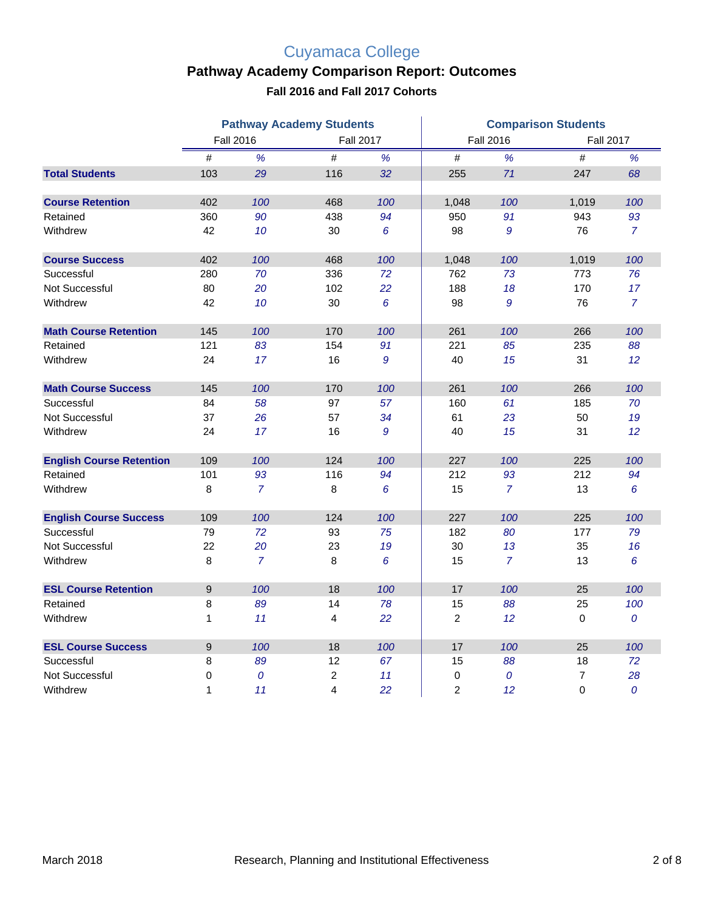# Cuyamaca College

## **Pathway Academy Comparison Report: Outcomes**

**Fall 2016 and Fall 2017 Cohorts**

|                                 | <b>Pathway Academy Students</b> |                |                  |                 | <b>Comparison Students</b> |                  |             |                  |  |
|---------------------------------|---------------------------------|----------------|------------------|-----------------|----------------------------|------------------|-------------|------------------|--|
|                                 | <b>Fall 2016</b>                |                | <b>Fall 2017</b> |                 |                            | <b>Fall 2016</b> |             | <b>Fall 2017</b> |  |
|                                 | $\#$                            | %              | $\#$             | %               | #                          | %                | #           | %                |  |
| <b>Total Students</b>           | 103                             | 29             | 116              | 32              | 255                        | 71               | 247         | 68               |  |
| <b>Course Retention</b>         | 402                             | 100            | 468              | 100             | 1,048                      | 100              | 1,019       | 100              |  |
| Retained                        | 360                             | 90             | 438              | 94              | 950                        | 91               | 943         | 93               |  |
| Withdrew                        | 42                              | 10             | 30               | 6               | 98                         | 9                | 76          | $\overline{7}$   |  |
| <b>Course Success</b>           | 402                             | 100            | 468              | 100             | 1,048                      | 100              | 1,019       | 100              |  |
| Successful                      | 280                             | 70             | 336              | 72              | 762                        | 73               | 773         | 76               |  |
| Not Successful                  | 80                              | 20             | 102              | 22              | 188                        | 18               | 170         | 17               |  |
| Withdrew                        | 42                              | 10             | 30               | $6\phantom{1}6$ | 98                         | 9                | 76          | $\overline{7}$   |  |
| <b>Math Course Retention</b>    | 145                             | 100            | 170              | 100             | 261                        | 100              | 266         | 100              |  |
| Retained                        | 121                             | 83             | 154              | 91              | 221                        | 85               | 235         | 88               |  |
| Withdrew                        | 24                              | 17             | 16               | 9               | 40                         | 15               | 31          | 12               |  |
| <b>Math Course Success</b>      | 145                             | 100            | 170              | 100             | 261                        | 100              | 266         | 100              |  |
| Successful                      | 84                              | 58             | 97               | 57              | 160                        | 61               | 185         | 70               |  |
| Not Successful                  | 37                              | 26             | 57               | 34              | 61                         | 23               | 50          | 19               |  |
| Withdrew                        | 24                              | 17             | 16               | 9               | 40                         | 15               | 31          | 12               |  |
| <b>English Course Retention</b> | 109                             | 100            | 124              | 100             | 227                        | 100              | 225         | 100              |  |
| Retained                        | 101                             | 93             | 116              | 94              | 212                        | 93               | 212         | 94               |  |
| Withdrew                        | 8                               | $\overline{7}$ | 8                | 6               | 15                         | $\overline{7}$   | 13          | 6                |  |
| <b>English Course Success</b>   | 109                             | 100            | 124              | 100             | 227                        | 100              | 225         | 100              |  |
| Successful                      | 79                              | 72             | 93               | 75              | 182                        | 80               | 177         | 79               |  |
| Not Successful                  | 22                              | 20             | 23               | 19              | 30                         | 13               | 35          | 16               |  |
| Withdrew                        | 8                               | $\overline{7}$ | 8                | 6               | 15                         | $\overline{7}$   | 13          | 6                |  |
| <b>ESL Course Retention</b>     | $\boldsymbol{9}$                | 100            | 18               | 100             | 17                         | 100              | 25          | 100              |  |
| Retained                        | 8                               | 89             | 14               | 78              | 15                         | 88               | 25          | 100              |  |
| Withdrew                        | $\mathbf{1}$                    | 11             | 4                | 22              | 2                          | 12               | $\mathbf 0$ | $\overline{0}$   |  |
| <b>ESL Course Success</b>       | 9                               | 100            | 18               | 100             | 17                         | 100              | 25          | 100              |  |
| Successful                      | 8                               | 89             | 12               | 67              | 15                         | 88               | 18          | 72               |  |
| Not Successful                  | 0                               | 0              | $\overline{c}$   | 11              | 0                          | 0                | 7           | 28               |  |
| Withdrew                        | 1                               | 11             | 4                | 22              | 2                          | 12               | $\mathbf 0$ | 0                |  |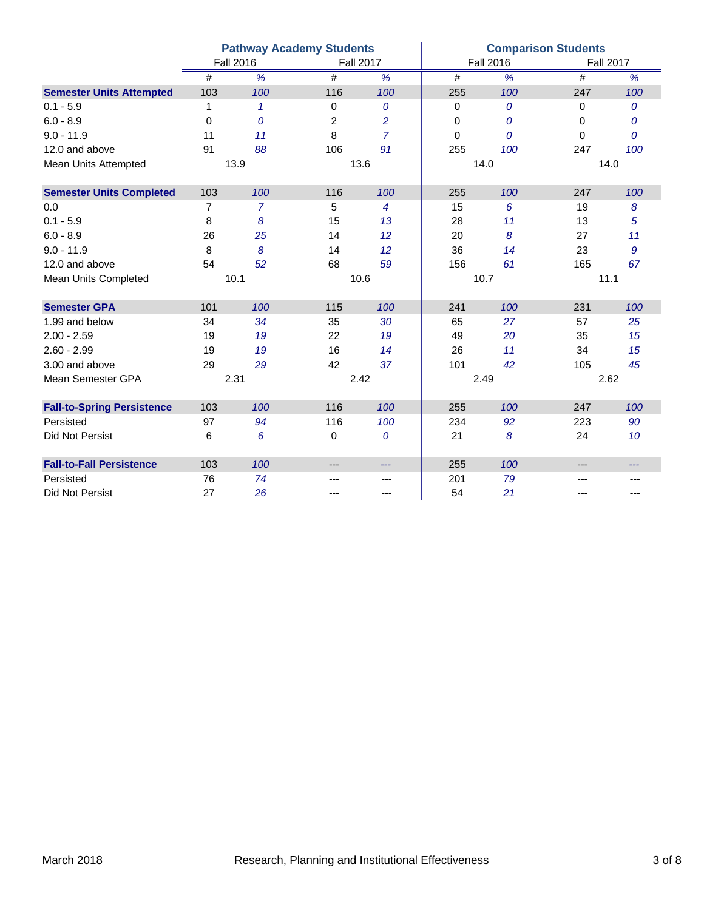|                                   | <b>Pathway Academy Students</b> |                          |                |                  |                 | <b>Comparison Students</b> |          |                          |  |
|-----------------------------------|---------------------------------|--------------------------|----------------|------------------|-----------------|----------------------------|----------|--------------------------|--|
|                                   | <b>Fall 2016</b>                |                          |                | <b>Fall 2017</b> |                 | <b>Fall 2016</b>           |          | <b>Fall 2017</b>         |  |
|                                   | $\#$                            | $\overline{\frac{9}{6}}$ | #              | $\frac{9}{6}$    | $\overline{\#}$ | $\overline{\frac{9}{6}}$   | #        | $\overline{\frac{9}{6}}$ |  |
| <b>Semester Units Attempted</b>   | 103                             | 100                      | 116            | 100              | 255             | 100                        | 247      | 100                      |  |
| $0.1 - 5.9$                       | 1                               | $\mathcal I$             | 0              | 0                | 0               | 0                          | 0        | 0                        |  |
| $6.0 - 8.9$                       | 0                               | 0                        | $\overline{2}$ | $\overline{c}$   | 0               | 0                          | $\Omega$ | $\overline{0}$           |  |
| $9.0 - 11.9$                      | 11                              | 11                       | 8              | $\overline{7}$   | $\Omega$        | $\overline{O}$             | $\Omega$ | $\overline{O}$           |  |
| 12.0 and above                    | 91                              | 88                       | 106            | 91               | 255             | 100                        | 247      | 100                      |  |
| Mean Units Attempted              |                                 | 13.9                     |                | 13.6             | 14.0            |                            | 14.0     |                          |  |
| <b>Semester Units Completed</b>   | 103                             | 100                      | 116            | 100              | 255             | 100                        | 247      | 100                      |  |
| 0.0                               | $\overline{7}$                  | 7                        | 5              | 4                | 15              | 6                          | 19       | 8                        |  |
| $0.1 - 5.9$                       | 8                               | 8                        | 15             | 13               | 28              | 11                         | 13       | 5                        |  |
| $6.0 - 8.9$                       | 26                              | 25                       | 14             | 12               | 20              | 8                          | 27       | 11                       |  |
| $9.0 - 11.9$                      | 8                               | 8                        | 14             | 12               | 36              | 14                         | 23       | 9                        |  |
| 12.0 and above                    | 54                              | 52                       | 68             | 59               | 156             | 61                         | 165      | 67                       |  |
| Mean Units Completed              | 10.1                            |                          | 10.6           |                  |                 | 10.7                       |          | 11.1                     |  |
| <b>Semester GPA</b>               | 101                             | 100                      | 115            | 100              | 241             | 100                        | 231      | 100                      |  |
| 1.99 and below                    | 34                              | 34                       | 35             | 30               | 65              | 27                         | 57       | 25                       |  |
| $2.00 - 2.59$                     | 19                              | 19                       | 22             | 19               | 49              | 20                         | 35       | 15                       |  |
| $2.60 - 2.99$                     | 19                              | 19                       | 16             | 14               | 26              | 11                         | 34       | 15                       |  |
| 3.00 and above                    | 29                              | 29                       | 42             | 37               | 101             | 42                         | 105      | 45                       |  |
| Mean Semester GPA                 | 2.31                            |                          | 2.42           |                  |                 | 2.49                       |          | 2.62                     |  |
| <b>Fall-to-Spring Persistence</b> | 103                             | 100                      | 116            | 100              | 255             | 100                        | 247      | 100                      |  |
| Persisted                         | 97                              | 94                       | 116            | 100              | 234             | 92                         | 223      | 90                       |  |
| <b>Did Not Persist</b>            | 6                               | 6                        | 0              | $\overline{0}$   | 21              | 8                          | 24       | 10                       |  |
| <b>Fall-to-Fall Persistence</b>   | 103                             | 100                      | ---            | $\cdots$         | 255             | 100                        | ---      | $---$                    |  |
| Persisted                         | 76                              | 74                       | ---            | $---$            | 201             | 79                         | ---      | ---                      |  |
| Did Not Persist                   | 27                              | 26                       | ---            | ---              | 54              | 21                         | ---      | ---                      |  |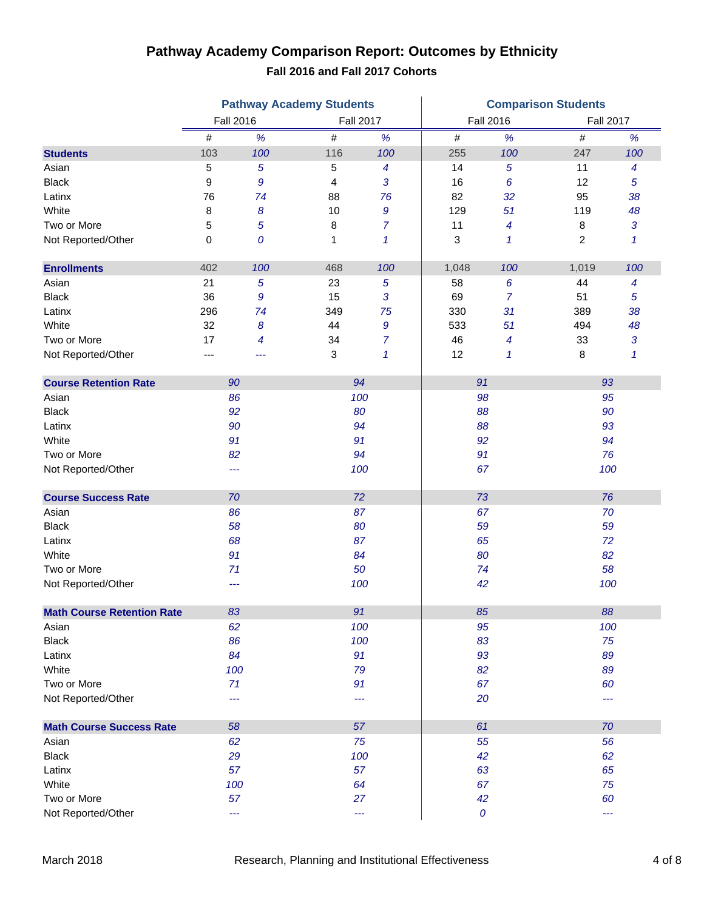### **Pathway Academy Comparison Report: Outcomes by Ethnicity Fall 2016 and Fall 2017 Cohorts**

|                                   | <b>Pathway Academy Students</b> |                |                  |                  | <b>Comparison Students</b> |                  |       |                          |  |
|-----------------------------------|---------------------------------|----------------|------------------|------------------|----------------------------|------------------|-------|--------------------------|--|
|                                   | <b>Fall 2016</b>                |                | <b>Fall 2017</b> |                  |                            | <b>Fall 2016</b> |       | <b>Fall 2017</b>         |  |
|                                   | #                               | $\%$           | $\#$             | $\%$             | $\#$                       | $\%$             | #     | $\%$                     |  |
| <b>Students</b>                   | 103                             | 100            | 116              | 100              | 255                        | 100              | 247   | 100                      |  |
| Asian                             | 5                               | $\overline{5}$ | 5                | $\boldsymbol{4}$ | 14                         | 5                | 11    | $\overline{\mathcal{A}}$ |  |
| <b>Black</b>                      | 9                               | 9              | 4                | 3                | 16                         | 6                | 12    | 5                        |  |
| Latinx                            | 76                              | 74             | 88               | 76               | 82                         | 32               | 95    | 38                       |  |
| White                             | 8                               | 8              | 10               | 9                | 129                        | 51               | 119   | 48                       |  |
| Two or More                       | 5                               | 5              | 8                | 7                | 11                         | 4                | 8     | 3                        |  |
| Not Reported/Other                | 0                               | 0              | 1                | 1                | 3                          | $\mathbf{1}$     | 2     | $\mathcal I$             |  |
| <b>Enrollments</b>                | 402                             | 100            | 468              | 100              | 1,048                      | 100              | 1,019 | 100                      |  |
| Asian                             | 21                              | 5              | 23               | 5                | 58                         | 6                | 44    | $\overline{\mathcal{A}}$ |  |
| <b>Black</b>                      | 36                              | 9              | 15               | 3                | 69                         | 7                | 51    | 5                        |  |
| Latinx                            | 296                             | 74             | 349              | 75               | 330                        | 31               | 389   | 38                       |  |
| White                             | 32                              | 8              | 44               | $\boldsymbol{9}$ | 533                        | 51               | 494   | 48                       |  |
| Two or More                       | 17                              | 4              | 34               | $\overline{7}$   | 46                         | 4                | 33    | 3                        |  |
| Not Reported/Other                | ---                             | ---            | 3                | 1                | 12                         | 1                | 8     | $\mathcal I$             |  |
| <b>Course Retention Rate</b>      | 90                              |                | 94               |                  | 91                         |                  | 93    |                          |  |
| Asian                             | 86                              |                | 100              |                  |                            | 98               |       | 95                       |  |
| <b>Black</b>                      | 92                              |                | 80               |                  |                            | 88               |       | 90                       |  |
| Latinx                            | 90                              |                | 94               |                  | 88                         |                  | 93    |                          |  |
| White                             | 91                              |                | 91               |                  | 92                         |                  | 94    |                          |  |
| Two or More                       | 82                              |                | 94               |                  |                            | 91               |       | 76                       |  |
| Not Reported/Other                | ---                             |                | 100              |                  |                            | 67               |       | 100                      |  |
| <b>Course Success Rate</b>        | 70                              |                | 72               |                  |                            | 73               |       | 76                       |  |
| Asian                             | 86                              |                | 87               |                  |                            | 67               |       | 70                       |  |
| <b>Black</b>                      | 58                              |                | 80               |                  |                            | 59               |       | 59                       |  |
| Latinx                            | 68                              |                | 87               |                  |                            | 65               |       | 72                       |  |
| White                             | 91                              |                | 84               |                  | 80                         |                  | 82    |                          |  |
| Two or More                       | 71                              |                | 50               |                  |                            | 74               |       | 58                       |  |
| Not Reported/Other                | ---                             |                | 100              |                  |                            | 42               |       | 100                      |  |
| <b>Math Course Retention Rate</b> | 83                              |                | 91               |                  | 85                         |                  | 88    |                          |  |
| Asian                             | 62                              |                |                  | 100              | 95                         |                  | 100   |                          |  |
| <b>Black</b>                      | 86                              |                | 100              |                  |                            | 83               |       | 75                       |  |
| Latinx                            | 84                              |                |                  | 91               |                            | 93               |       | 89                       |  |
| White                             | 100                             |                | 79               |                  | 82                         |                  | 89    |                          |  |
| Two or More                       | 71                              |                | 91               |                  | 67                         |                  | 60    |                          |  |
| Not Reported/Other                | ---                             |                | ---              |                  | 20                         |                  | ---   |                          |  |
| <b>Math Course Success Rate</b>   | 58                              |                | 57               |                  | 61                         |                  | 70    |                          |  |
| Asian                             | 62                              |                |                  | 75               |                            | 55               |       | 56                       |  |
| <b>Black</b>                      | 29                              |                |                  | 100              |                            | 42               |       | 62                       |  |
| Latinx                            | 57                              |                |                  | 57               | 63                         |                  | 65    |                          |  |
| White                             | 100                             |                |                  | 64               | 67                         |                  | 75    |                          |  |
| Two or More                       | 57                              |                |                  | 27               | 42                         |                  | 60    |                          |  |
| Not Reported/Other                | ---                             |                |                  | ---              | $\pmb{\mathit{O}}$         |                  | ---   |                          |  |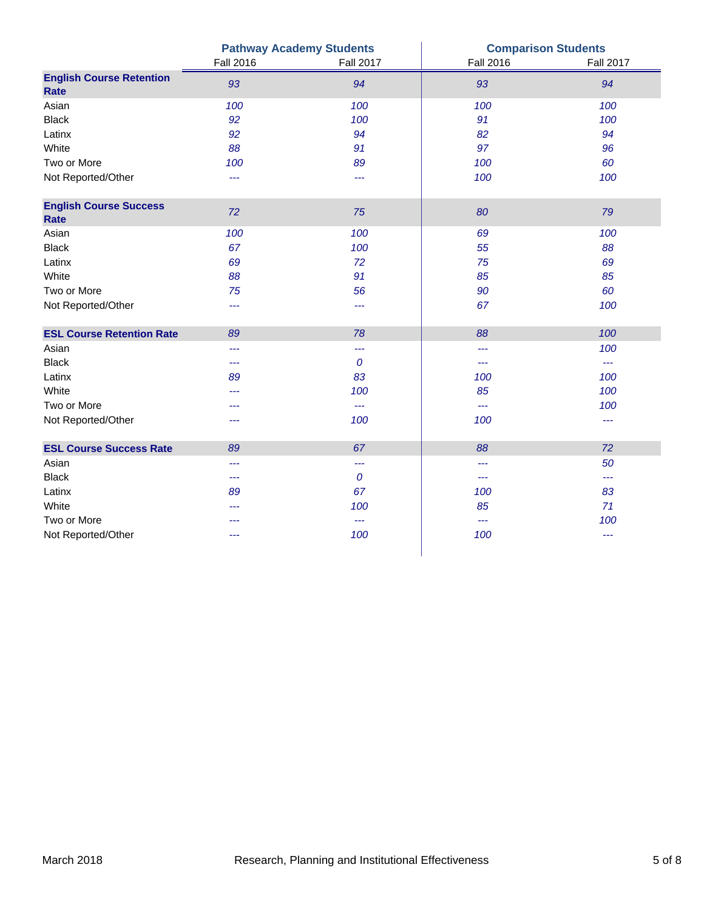|                                              |                  | <b>Pathway Academy Students</b> | <b>Comparison Students</b> |                      |  |
|----------------------------------------------|------------------|---------------------------------|----------------------------|----------------------|--|
|                                              | <b>Fall 2016</b> | <b>Fall 2017</b>                | <b>Fall 2016</b>           | <b>Fall 2017</b>     |  |
| <b>English Course Retention</b><br>Rate      | 93               | 94                              | 93                         | 94                   |  |
| Asian                                        | 100              | 100                             | 100                        | 100                  |  |
| <b>Black</b>                                 | 92               | 100                             | 91                         | 100                  |  |
| Latinx                                       | 92               | 94                              | 82                         | 94                   |  |
| White                                        | 88               | 91                              | 97                         | 96                   |  |
| Two or More                                  | 100              | 89                              | 100                        | 60                   |  |
| Not Reported/Other                           | ---              | ---                             | 100                        | 100                  |  |
| <b>English Course Success</b><br><b>Rate</b> | 72               | 75                              | 80                         | 79                   |  |
| Asian                                        | 100              | 100                             | 69                         | 100                  |  |
| <b>Black</b>                                 | 67               | 100                             | 55                         | 88                   |  |
| Latinx                                       | 69               | 72                              | 75                         | 69                   |  |
| White                                        | 88               | 91                              | 85                         | 85                   |  |
| Two or More                                  | 75               | 56                              | 90                         | 60                   |  |
| Not Reported/Other                           | ---              | ---                             | 67                         | 100                  |  |
| <b>ESL Course Retention Rate</b>             | 89               | 78                              | 88                         | 100                  |  |
| Asian                                        | ---              | ---                             | ---                        | 100                  |  |
| <b>Black</b>                                 | ---              | $\boldsymbol{0}$                | ---                        | $\scriptstyle\cdots$ |  |
| Latinx                                       | 89               | 83                              | 100                        | 100                  |  |
| White                                        | ---              | 100                             | 85                         | 100                  |  |
| Two or More                                  | ---              | ---                             | $\overline{a}$             | 100                  |  |
| Not Reported/Other                           | ---              | 100                             | 100                        | ---                  |  |
| <b>ESL Course Success Rate</b>               | 89               | 67                              | 88                         | 72                   |  |
| Asian                                        | ---              | ---                             | ---                        | 50                   |  |
| <b>Black</b>                                 | ---              | $\boldsymbol{0}$                | ---                        | $- - -$              |  |
| Latinx                                       | 89               | 67                              | 100                        | 83                   |  |
| White                                        | ---              | 100                             | 85                         | 71                   |  |
| Two or More                                  |                  | ---                             | $\scriptstyle\cdots$       | 100                  |  |
| Not Reported/Other                           | ---              | 100                             | 100                        | $---$                |  |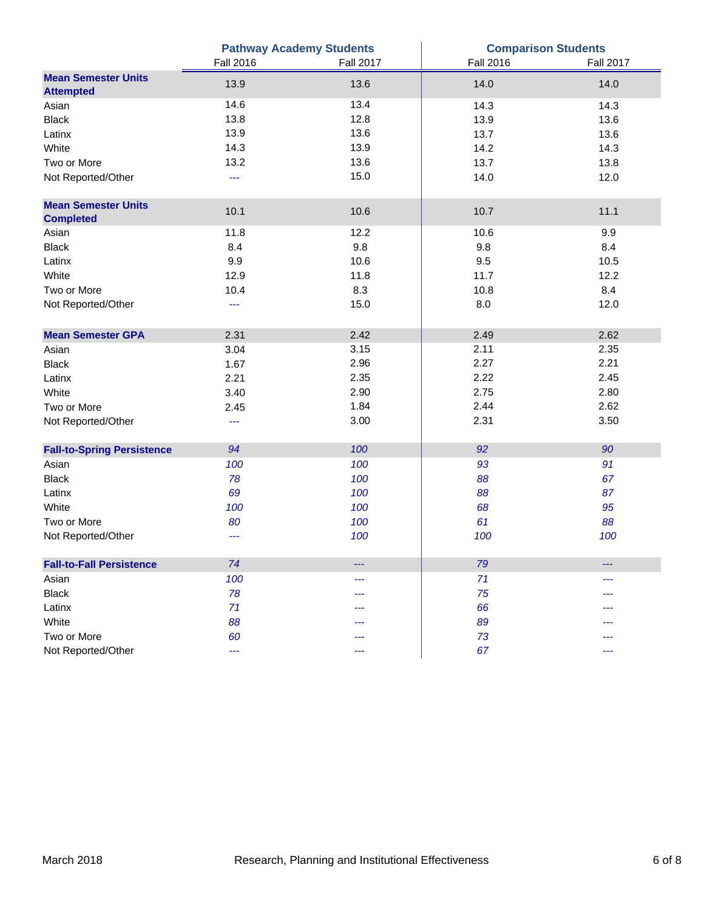|                                   |                  | <b>Pathway Academy Students</b> | <b>Comparison Students</b> |                  |  |  |
|-----------------------------------|------------------|---------------------------------|----------------------------|------------------|--|--|
|                                   | <b>Fall 2016</b> | <b>Fall 2017</b>                | <b>Fall 2016</b>           | <b>Fall 2017</b> |  |  |
| <b>Mean Semester Units</b>        | 13.9             | 13.6                            | 14.0                       | 14.0             |  |  |
| <b>Attempted</b>                  |                  |                                 |                            |                  |  |  |
| Asian                             | 14.6             | 13.4                            | 14.3                       | 14.3             |  |  |
| <b>Black</b>                      | 13.8             | 12.8                            | 13.9                       | 13.6             |  |  |
| Latinx                            | 13.9             | 13.6                            | 13.7                       | 13.6             |  |  |
| White                             | 14.3             | 13.9                            | 14.2                       | 14.3             |  |  |
| Two or More                       | 13.2             | 13.6                            | 13.7                       | 13.8             |  |  |
| Not Reported/Other                | $\overline{a}$   | 15.0                            | 14.0                       | 12.0             |  |  |
| <b>Mean Semester Units</b>        |                  |                                 |                            |                  |  |  |
| <b>Completed</b>                  | 10.1             | 10.6                            | 10.7                       | 11.1             |  |  |
| Asian                             | 11.8             | 12.2                            | 10.6                       | 9.9              |  |  |
| <b>Black</b>                      | 8.4              | 9.8                             | 9.8                        | 8.4              |  |  |
| Latinx                            | 9.9              | 10.6                            | 9.5                        | 10.5             |  |  |
| White                             | 12.9             | 11.8                            | 11.7                       | 12.2             |  |  |
| Two or More                       | 10.4             | 8.3                             | 10.8                       | 8.4              |  |  |
| Not Reported/Other                | ---              | 15.0                            | 8.0                        | 12.0             |  |  |
| <b>Mean Semester GPA</b>          | 2.31             | 2.42                            | 2.49                       | 2.62             |  |  |
| Asian                             | 3.04             | 3.15                            | 2.11                       | 2.35             |  |  |
| <b>Black</b>                      | 1.67             | 2.96                            | 2.27                       | 2.21             |  |  |
| Latinx                            | 2.21             | 2.35                            | 2.22                       | 2.45             |  |  |
| White                             | 3.40             | 2.90                            | 2.75                       | 2.80             |  |  |
| Two or More                       | 2.45             | 1.84                            | 2.44                       | 2.62             |  |  |
| Not Reported/Other                | ---              | 3.00                            | 2.31                       | 3.50             |  |  |
|                                   |                  |                                 |                            |                  |  |  |
| <b>Fall-to-Spring Persistence</b> | 94               | 100                             | 92                         | 90               |  |  |
| Asian                             | 100              | 100                             | 93                         | 91               |  |  |
| <b>Black</b>                      | 78               | 100                             | 88                         | 67               |  |  |
| Latinx                            | 69               | 100                             | 88                         | 87               |  |  |
| White                             | 100              | 100                             | 68                         | 95               |  |  |
| Two or More                       | 80               | 100                             | 61                         | 88               |  |  |
| Not Reported/Other                | ---              | 100                             | 100                        | 100              |  |  |
| <b>Fall-to-Fall Persistence</b>   | 74               |                                 | 79                         |                  |  |  |
| Asian                             | 100              | ---                             | 71                         | ---              |  |  |
| <b>Black</b>                      | 78               |                                 | 75                         |                  |  |  |
| Latinx                            | 71               |                                 | 66                         |                  |  |  |
| White                             | 88               |                                 | 89                         |                  |  |  |
| Two or More                       | 60               |                                 | 73                         |                  |  |  |
| Not Reported/Other                | ---              | ---                             | 67                         | ---              |  |  |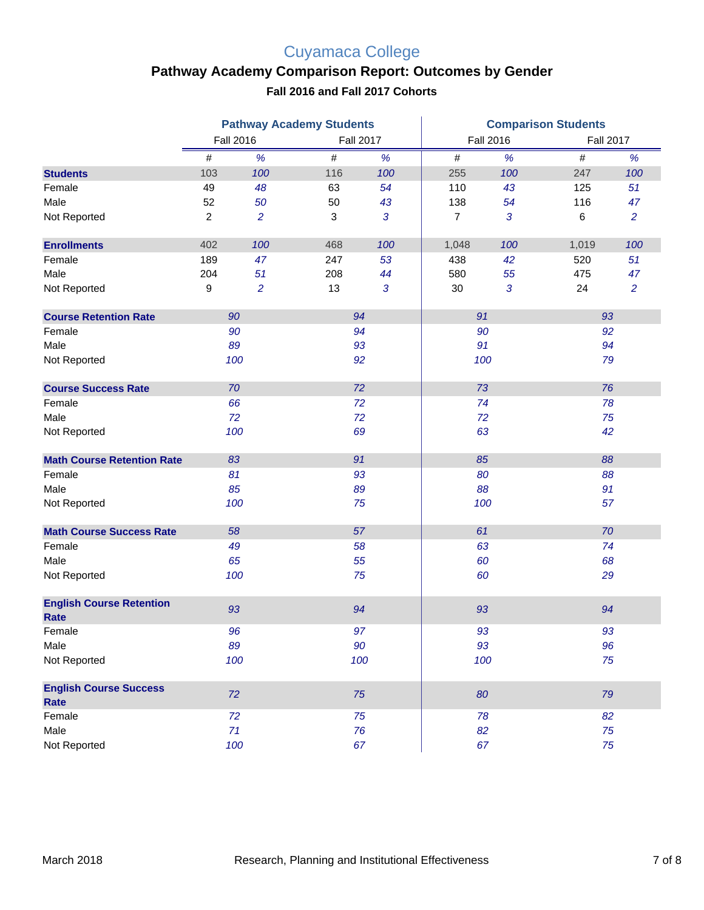# Cuyamaca College

## **Pathway Academy Comparison Report: Outcomes by Gender**

**Fall 2016 and Fall 2017 Cohorts**

|                                                | <b>Pathway Academy Students</b> |                |      |                  | <b>Comparison Students</b> |                  |       |                  |  |
|------------------------------------------------|---------------------------------|----------------|------|------------------|----------------------------|------------------|-------|------------------|--|
|                                                | <b>Fall 2016</b>                |                |      | <b>Fall 2017</b> |                            | <b>Fall 2016</b> |       | <b>Fall 2017</b> |  |
|                                                | #                               | %              | $\#$ | %                | $\#$                       | %                | $\#$  | %                |  |
| <b>Students</b>                                | 103                             | 100            | 116  | 100              | 255                        | 100              | 247   | 100              |  |
| Female                                         | 49                              | 48             | 63   | 54               | 110                        | 43               | 125   | 51               |  |
| Male                                           | 52                              | 50             | 50   | 43               | 138                        | 54               | 116   | 47               |  |
| Not Reported                                   | $\overline{\mathbf{c}}$         | $\overline{c}$ | 3    | 3                | $\overline{7}$             | $\mathfrak{3}$   | $\,6$ | $\overline{a}$   |  |
| <b>Enrollments</b>                             | 402                             | 100            | 468  | 100              | 1,048                      | 100              | 1,019 | 100              |  |
| Female                                         | 189                             | 47             | 247  | 53               | 438                        | 42               | 520   | 51               |  |
| Male                                           | 204                             | 51             | 208  | 44               | 580                        | 55               | 475   | 47               |  |
| Not Reported                                   | 9                               | 2              | 13   | 3                | 30                         | $\mathfrak{3}$   | 24    | $\overline{2}$   |  |
| <b>Course Retention Rate</b>                   | 90                              |                |      | 94               | 91                         |                  | 93    |                  |  |
| Female                                         | 90                              |                |      | 94               |                            | 90               | 92    |                  |  |
| Male                                           | 89                              |                |      | 93               | 91                         |                  | 94    |                  |  |
| Not Reported                                   | 100<br>92                       |                |      | 100              |                            | 79               |       |                  |  |
| <b>Course Success Rate</b>                     | 70                              |                |      | 72               | 73                         |                  | 76    |                  |  |
| Female                                         | 66                              |                |      | 72               |                            | 74               | 78    |                  |  |
| Male                                           | 72                              |                | 72   |                  | 72                         |                  | 75    |                  |  |
| Not Reported                                   | 100                             |                |      | 69               |                            | 63               | 42    |                  |  |
| <b>Math Course Retention Rate</b>              | 83                              |                |      | 91               |                            | 85               | 88    |                  |  |
| Female                                         | 81                              |                |      | 93               |                            | 80               | 88    |                  |  |
| Male                                           | 85                              |                | 89   |                  |                            | 88               |       | 91               |  |
| Not Reported                                   | 100                             |                |      | 75               | 100                        |                  | 57    |                  |  |
| <b>Math Course Success Rate</b>                | 58                              |                |      | 57               | 61                         |                  | 70    |                  |  |
| Female                                         | 49                              |                |      | 58               |                            | 63               | 74    |                  |  |
| Male                                           | 65                              |                | 55   |                  | 60                         |                  | 68    |                  |  |
| Not Reported                                   | 100                             |                |      | 75               | 60                         |                  | 29    |                  |  |
| <b>English Course Retention</b><br><b>Rate</b> | 93                              |                |      | 94               |                            | 93               | 94    |                  |  |
| Female                                         | 96                              |                |      | 97               |                            | 93               | 93    |                  |  |
| Male                                           | 89                              |                |      | 90               |                            | 93               |       | 96               |  |
| Not Reported                                   | 100                             |                |      | 100              |                            | 100              | 75    |                  |  |
| <b>English Course Success</b><br>Rate          | 72                              |                |      | 75               |                            | 80               | 79    |                  |  |
| Female                                         | 72                              |                |      | 75               |                            | 78               | 82    |                  |  |
| Male                                           | 71                              |                |      | 76               |                            | 82               | 75    |                  |  |
| Not Reported                                   | 100                             |                |      | 67               |                            | 67               | 75    |                  |  |